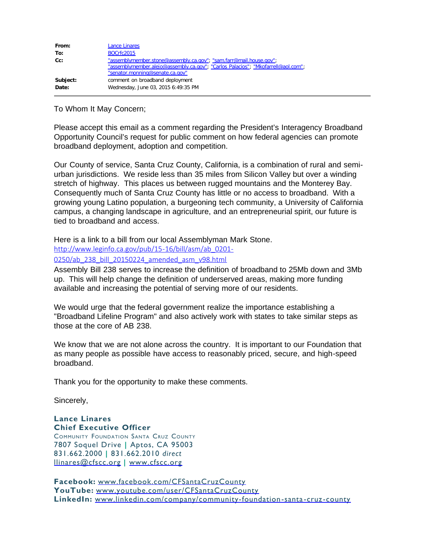| From:    | Lance Linares                                                                                                                                                                             |
|----------|-------------------------------------------------------------------------------------------------------------------------------------------------------------------------------------------|
| To:      | <b>BOCrfc2015</b>                                                                                                                                                                         |
| $Cc$ :   | "assemblymember.stone@assembly.ca.gov"; "sam.farr@mail.house.gov";<br>"assemblymember.alejo@assembly.ca.gov"; "Carlos Palacios"; "Mkofarrell@aol.com";<br>"senator.monning@senate.ca.gov" |
| Subject: | comment on broadband deployment                                                                                                                                                           |
| Date:    | Wednesday, June 03, 2015 6:49:35 PM                                                                                                                                                       |

To Whom It May Concern;

Please accept this email as a comment regarding the President's Interagency Broadband Opportunity Council's request for public comment on how federal agencies can promote broadband deployment, adoption and competition.

Our County of service, Santa Cruz County, California, is a combination of rural and semiurban jurisdictions. We reside less than 35 miles from Silicon Valley but over a winding stretch of highway. This places us between rugged mountains and the Monterey Bay. Consequently much of Santa Cruz County has little or no access to broadband. With a growing young Latino population, a burgeoning tech community, a University of California campus, a changing landscape in agriculture, and an entrepreneurial spirit, our future is tied to broadband and access.

Here is a link to a bill from our local Assemblyman Mark Stone.

[http://www.leginfo.ca.gov/pub/15-16/bill/asm/ab\\_0201-](http://www.leginfo.ca.gov/pub/15-16/bill/asm/ab_0201-0250/ab_238_bill_20150224_amended_asm_v98.html)

[0250/ab\\_238\\_bill\\_20150224\\_amended\\_asm\\_v98.html](http://www.leginfo.ca.gov/pub/15-16/bill/asm/ab_0201-0250/ab_238_bill_20150224_amended_asm_v98.html)

Assembly Bill 238 serves to increase the definition of broadband to 25Mb down and 3Mb up. This will help change the definition of underserved areas, making more funding available and increasing the potential of serving more of our residents.

We would urge that the federal government realize the importance establishing a "Broadband Lifeline Program" and also actively work with states to take similar steps as those at the core of AB 238.

We know that we are not alone across the country. It is important to our Foundation that as many people as possible have access to reasonably priced, secure, and high-speed broadband.

Thank you for the opportunity to make these comments.

Sincerely,

## **Lance Linares Chief Executive Officer**

Community Foundation Santa Cruz County 7807 Soquel Drive **|** Aptos, CA 95003 831.662.2000 **|** 831.662.2010 *direct* [llinares@cfscc.org](mailto:llinares@cfscc.org) **|** [www.cfscc.org](http://www.cfscc.org/)

**Facebook:** [www.facebook.com/CFSantaCruzCounty](http://www.facebook.com/CFSantaCruzCounty) **YouTube:** [www.youtube.com/user/CFSantaCruzCounty](http://www.youtube.com/user/CFSantaCruzCounty) **LinkedIn:** [www.linkedin.com/company/community-foundation-santa-cruz-county](http://www.linkedin.com/company/community-foundation-santa-cruz-county)